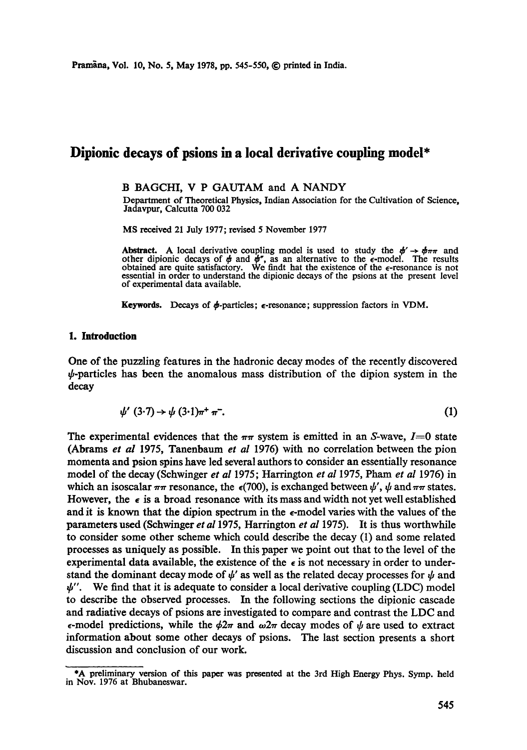# **Dipionic decays of psions in a local derivative coupling model\***

#### B BAGCHI, V P GAUTAM and A NANDY

Department of Theoretical Physics, Indian Association for the Cultivation of Science, Jadavpur, Calcutta 700 032

MS received 21 July 1977; revised 5 November 1977

Abstract. A local derivative coupling model is used to study the  $\phi' \rightarrow \phi_{\pi\pi}$  and other dipionic decays of  $\phi$  and  $\phi''$ , as an alternative to the  $\epsilon$ -model. The results obtained are quite satisfactory. We find that the existence of the  $\epsilon$ -resonance is not essential in order to understand the dipionic decays of the psions at the present level of experimental data available.

Keywords. Decays of  $\phi$ -particles;  $\epsilon$ -resonance; suppression factors in VDM.

#### 1. **Introduction**

One of the puzzling features in the hadronic decay modes of the recently discovered  $\psi$ -particles has been the anomalous mass distribution of the dipion system in the decay

$$
\psi'(3\cdot7) \rightarrow \psi(3\cdot1)\pi^+\pi^-. \tag{1}
$$

The experimental evidences that the  $\pi\pi$  system is emitted in an S-wave,  $I=0$  state (Abrams *et al* 1975, Tanenbaum *et al* 1976) with no correlation between the pion momenta and psion spins have led several authors to consider an essentially resonance model of the decay (Schwinger *et al* 1975; Harrington *et aI* 1975, Pham *et al* 1976) in which an isoscalar  $\pi\pi$  resonance, the  $\epsilon$ (700), is exchanged between  $\psi'$ ,  $\psi$  and  $\pi\pi$  states. However, the  $\epsilon$  is a broad resonance with its mass and width not yet well established and it is known that the dipion spectrum in the  $\epsilon$ -model varies with the values of the parameters used (Schwinger *et a11975,* Harrington *et al* 1975). It is thus worthwhile to consider some other scheme which could describe the decay (1) and some related processes as uniquely as possible. In this paper we point out that to the level of the experimental data available, the existence of the  $\epsilon$  is not necessary in order to understand the dominant decay mode of  $\psi'$  as well as the related decay processes for  $\psi$  and  $\psi''$ . We find that it is adequate to consider a local derivative coupling (LDC) model to describe the observed processes. In the following sections the dipionic cascade and radiative decays of psions are investigated to compare and contrast the LDC and  $\epsilon$ -model predictions, while the  $\phi 2\pi$  and  $\omega 2\pi$  decay modes of  $\psi$  are used to extract information about some other decays of psions. The last section presents a short discussion and conclusion of our work.

<sup>\*</sup>A preliminary version of this paper was presented at the 3rd High Energy Phys. Symp. held in Nov. 1976 at Bhubaneswar.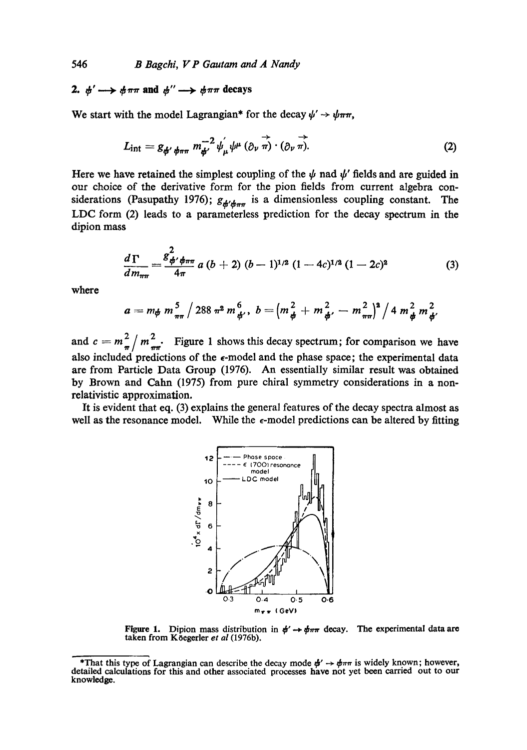# 2.  $\phi' \longrightarrow \phi \pi \pi$  and  $\phi'' \longrightarrow \phi \pi \pi$  decays

We start with the model Lagrangian\* for the decay  $\psi' \rightarrow \psi \pi \pi$ ,

$$
L_{\rm int} = g_{\phi' \phi \pi \pi} m_{\phi'}^{-2} \psi_{\mu} \psi^{\mu} (\partial_{\nu} \vec{\pi}) \cdot (\partial_{\nu} \vec{\pi}). \tag{2}
$$

Here we have retained the simplest coupling of the  $\psi$  nad  $\psi'$  fields and are guided in our choice of the derivative form for the pion fields from current algebra considerations (Pasupathy 1976);  $g_{\phi'\phi_{\pi\pi}}$  is a dimensionless coupling constant. The LDC form (2) leads to a parameterless prediction for the decay spectrum in the dipion mass

$$
\frac{d\,\Gamma}{dm_{\pi\pi}}=\frac{g_{\phi'\phi\pi\pi}^2}{4\pi}\,a\,(b+2)\,(b-1)^{1/2}\,(1-4c)^{1/2}\,(1-2c)^2\qquad \qquad (3)
$$

where

$$
a = m_{\phi} m_{\pi\pi}^5 / 288 \pi^2 m_{\phi'}^6, \ b = (m_{\phi}^2 + m_{\phi'}^2 - m_{\pi\pi}^2)^2 / 4 m_{\phi}^2 m_{\phi'}^2
$$

and  $c = m_{\pi}^2 / m_{\pi}^2$ . Figure 1 shows this decay spectrum; for comparison we have also included predictions of the  $\epsilon$ -model and the phase space; the experimental data are from Particle Data Group (1976). An essentially similar result was obtained by Brown and Calm (1975) from pure chiral symmetry considerations in a nonrelativistic approximation.

It is evident that eq. (3) explains the general features of the decay spectra almost as well as the resonance model. While the  $\epsilon$ -model predictions can be altered by fitting



Figure 1. Dipion mass distribution in  $\phi' \rightarrow \phi_{\pi\pi}$  decay. The experimental data are taken from K<sub>o</sub>egerler et al (1976b).

<sup>\*</sup>That this type of Lagrangian can describe the decay mode  $\phi' \rightarrow \phi_{\pi\pi}$  is widely known; however, detailed calculations for this and other associated processes have not yet been carried out to our knowledge.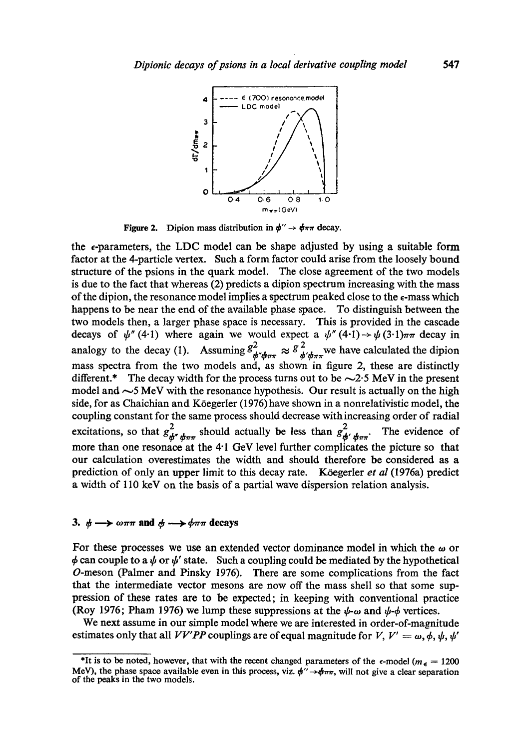

**Figure 2.** Dipion mass distribution in  $\phi'' \rightarrow \phi \pi \pi$  decay.

the  $\epsilon$ -parameters, the LDC model can be shape adjusted by using a suitable form factor at the 4-particle vertex. Such a form factor could arise from the loosely bound structure of the psions in the quark model. The close agreement of the two models is due to the fact that whereas (2) predicts a dipion spectrum increasing with the mass of the dipion, the resonance model implies a spectrum peaked close to the  $\epsilon$ -mass which happens to be near the end of the available phase space. To distinguish between the two models then, a larger phase space is necessary. This is provided in the cascade decays of  $\psi''(4\cdot l)$  where again we would expect a  $\psi''(4\cdot l) \rightarrow \psi(3\cdot l)\pi\pi$  decay in analogy to the decay (1). Assuming  $g^2_{\phi^r \phi \pi \pi} \approx g^2_{\phi^r \phi \pi \pi}$  we have calculated the dipion mass spectra from the two models and, as shown in figure 2, these are distinctly different.\* The decay width for the process turns out to be  $\sim$ 2.5 MeV in the present model and  $\sim$  5 MeV with the resonance hypothesis. Our result is actually on the high side, for as Chaichian and Köegerler (1976) have shown in a nonrelativistic model, the coupling constant for the same process should decrease with increasing order of radial excitations, so that  $g^2_{\phi''\phi\pi\pi}$  should actually be less than  $g^2_{\phi'\phi\pi\pi}$ . The evidence of more than one resonace at the 4" 1 GeV level further complicates the picture so that our calculation overestimates the width and should therefore be considered as a prediction of only an upper limit to this decay rate. Köegerler *et al* (1976a) predict a width of 110 keV on the basis of a partial wave dispersion relation analysis.

### **3.**  $\phi \rightarrow \omega \pi \pi$  and  $\phi \rightarrow \phi \pi \pi$  decays

For these processes we use an extended vector dominance model in which the  $\omega$  or  $\phi$  can couple to a  $\psi$  or  $\psi'$  state. Such a coupling could be mediated by the hypothetical O-meson (Palmer and Pinsky 1976). There are some complications from the fact that the intermediate vector mesons are now off the mass shell so that some suppression of these rates are to be expected; in keeping with conventional practice (Roy 1976; Pham 1976) we lump these suppressions at the  $\psi$ - $\omega$  and  $\psi$ - $\phi$  vertices.

We next assume in our simple model where we are interested in order-of-magnitude estimates only that all *VV'PP* couplings are of equal magnitude for V,  $V' = \omega, \phi, \psi, \psi'$ 

<sup>\*</sup>It is to be noted, however, that with the recent changed parameters of the  $\epsilon$ -model ( $m_{\epsilon} = 1200$ ) MeV), the phase space available even in this process, viz.  $\phi^{\prime\prime} \rightarrow \phi \pi \pi$ , will not give a clear separation of the peaks in the two models.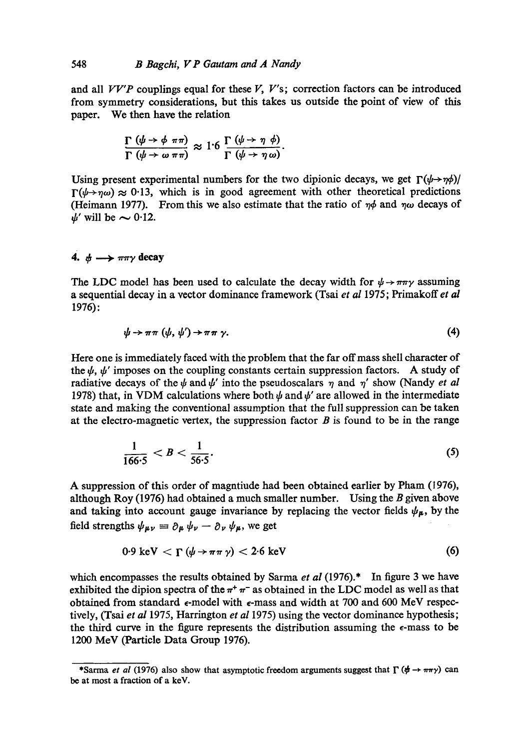and all  $VV'P$  couplings equal for these  $V, V's$ ; correction factors can be introduced from symmetry considerations, but this takes us outside the point of view of this paper. We then have the relation

$$
\frac{\Gamma(\psi \to \phi \pi \pi)}{\Gamma(\psi \to \omega \pi \pi)} \approx 1.6 \frac{\Gamma(\psi \to \eta \phi)}{\Gamma(\psi \to \eta \omega)}.
$$

Using present experimental numbers for the two dipionic decays, we get  $\Gamma(\psi \rightarrow \gamma \phi)/\gamma$  $\Gamma(\psi \rightarrow \eta \omega) \approx 0.13$ , which is in good agreement with other theoretical predictions (Heimann 1977). From this we also estimate that the ratio of  $\eta\phi$  and  $\eta\omega$  decays of  $\psi'$  will be  $\sim 0.12$ .

## 4.  $\phi \longrightarrow \pi \pi \gamma$  decay

The LDC model has been used to calculate the decay width for  $\psi \rightarrow \pi \pi \gamma$  assuming a sequential decay in a vector dominance framework (Tsai *et al* 1975; Primakoff *et al*  1976):

$$
\psi \to \pi \pi \ (\psi, \ \psi') \to \pi \pi \ \gamma. \tag{4}
$$

Here one is immediately faced with the problem that the far off mass shell character of the  $\psi$ ,  $\psi'$  imposes on the coupling constants certain suppression factors. A study of radiative decays of the  $\psi$  and  $\psi'$  into the pseudoscalars  $\eta$  and  $\eta'$  show (Nandy *et al* 1978) that, in VDM calculations where both  $\psi$  and  $\psi'$  are allowed in the intermediate state and making the conventional assumption that the full suppression can be taken at the electro-magnetic vertex, the suppression factor  $B$  is found to be in the range

$$
\frac{1}{166.5} < B < \frac{1}{56.5}.\tag{5}
$$

A suppression of this order of magntiude had been obtained earlier by Pham (1976), although Roy (1976) had obtained a much smaller number. Using the  $B$  given above and taking into account gauge invariance by replacing the vector fields  $\psi_{\mu}$ , by the field strengths  $\psi_{\mu\nu} = \partial_{\mu} \psi_{\nu} - \partial_{\nu} \psi_{\mu}$ , we get

$$
0.9 \text{ keV} < \Gamma \left( \psi \to \pi \pi \gamma \right) < 2.6 \text{ keV} \tag{6}
$$

which encompasses the results obtained by Sarma *et al* (1976).<sup>\*</sup> In figure 3 we have exhibited the dipion spectra of the  $\pi^+$   $\pi^-$  as obtained in the LDC model as well as that obtained from standard  $\epsilon$ -model with  $\epsilon$ -mass and width at 700 and 600 MeV respectively, (Tsai *et al* 1975, Harrington *et al* 1975) using the vector dominance hypothesis; the third curve in the figure represents the distribution assuming the  $\epsilon$ -mass to be 1200 MeV (Particle Data Group 1976).

<sup>\*</sup>Sarma *et al* (1976) also show that asymptotic freedom arguments suggest that  $\Gamma$  ( $\phi \rightarrow \pi \pi \gamma$ ) can be at most a fraction of a keV.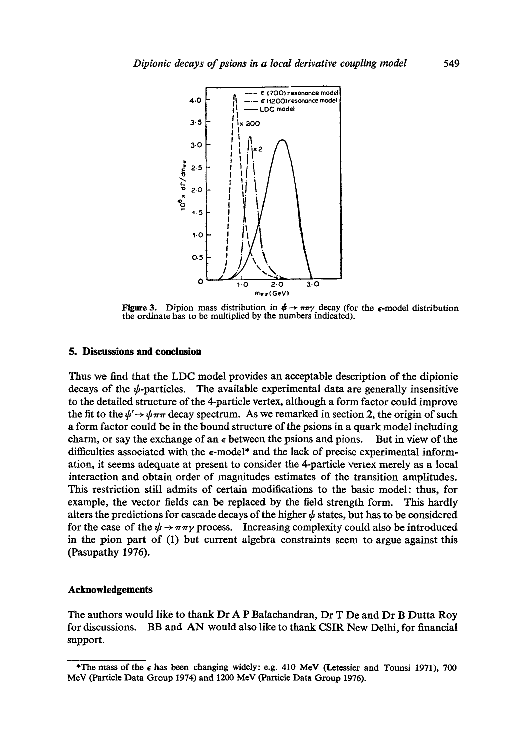

Figure 3. Dipion mass distribution in  $\phi \rightarrow \pi \pi \gamma$  decay (for the  $\epsilon$ -model distribution the ordinate has to be multiplied by the numbers indicated).

## **5. Discussions and conclusion**

Thus we find that the LDC model provides an acceptable description of the dipionic decays of the  $\psi$ -particles. The available experimental data are generally insensitive to the detailed structure of the 4-particle vertex, although a form factor could improve the fit to the  $\psi' \rightarrow \psi \pi \pi$  decay spectrum. As we remarked in section 2, the origin of such a form factor could be in the bound structure of the psions in a quark model including charm, or say the exchange of an  $\epsilon$  between the psions and pions. But in view of the difficulties associated with the  $\epsilon$ -model\* and the lack of precise experimental information, it seems adequate at present to consider the 4-particle vertex merely as a local interaction and obtain order of magnitudes estimates of the transition amplitudes. This restriction still admits of certain modifications to the basic model: thus, for example, the vector fields can be replaced by the field strength form. This hardly alters the predictions for cascade decays of the higher  $\psi$  states, but has to be considered for the case of the  $\psi \rightarrow \pi \pi \gamma$  process. Increasing complexity could also be introduced in the pion part of (1) but current algebra constraints seem to argue against this (Pasupathy 1976).

### **Acknowledgements**

The authors would like to thank Dr A P Balachandran, Dr T De and Dr B Dutta Roy for discussions. BB and AN would also like to thank CSIR New Delhi, for financial support.

<sup>\*</sup>The mass of the  $\epsilon$  has been changing widely: e.g. 410 MeV (Letessier and Tounsi 1971), 700 MeV (Particle Data Group 1974) and 1200 MeV (Particle Data Group 1976).